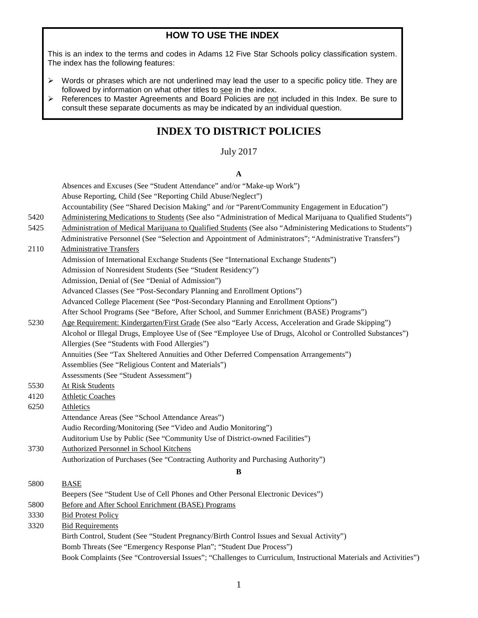# **HOW TO USE THE INDEX**

This is an index to the terms and codes in Adams 12 Five Star Schools policy classification system. The index has the following features:

- $\triangleright$  Words or phrases which are not underlined may lead the user to a specific policy title. They are followed by information on what other titles to see in the index.
- $\triangleright$  References to Master Agreements and Board Policies are not included in this Index. Be sure to consult these separate documents as may be indicated by an individual question.

# **INDEX TO DISTRICT POLICIES**

### July 2017

#### **A**

Absences and Excuses (See "Student Attendance" and/or "Make-up Work") Abuse Reporting, Child (See "Reporting Child Abuse/Neglect") Accountability (See "Shared Decision Making" and /or "Parent/Community Engagement in Education") 5420 Administering Medications to Students (See also "Administration of Medical Marijuana to Qualified Students") 5425 Administration of Medical Marijuana to Qualified Students (See also "Administering Medications to Students") Administrative Personnel (See "Selection and Appointment of Administrators"; "Administrative Transfers") 2110 Administrative Transfers Admission of International Exchange Students (See "International Exchange Students") Admission of Nonresident Students (See "Student Residency") Admission, Denial of (See "Denial of Admission") Advanced Classes (See "Post-Secondary Planning and Enrollment Options") Advanced College Placement (See "Post-Secondary Planning and Enrollment Options") After School Programs (See "Before, After School, and Summer Enrichment (BASE) Programs") 5230 Age Requirement: Kindergarten/First Grade (See also "Early Access, Acceleration and Grade Skipping") Alcohol or Illegal Drugs, Employee Use of (See "Employee Use of Drugs, Alcohol or Controlled Substances") Allergies (See "Students with Food Allergies") Annuities (See "Tax Sheltered Annuities and Other Deferred Compensation Arrangements") Assemblies (See "Religious Content and Materials") Assessments (See "Student Assessment") 5530 At Risk Students 4120 Athletic Coaches 6250 Athletics Attendance Areas (See "School Attendance Areas") Audio Recording/Monitoring (See "Video and Audio Monitoring") Auditorium Use by Public (See "Community Use of District-owned Facilities") 3730 Authorized Personnel in School Kitchens Authorization of Purchases (See "Contracting Authority and Purchasing Authority") **B** 5800 BASE Beepers (See "Student Use of Cell Phones and Other Personal Electronic Devices") 5800 Before and After School Enrichment (BASE) Programs 3330 Bid Protest Policy 3320 Bid Requirements Birth Control, Student (See "Student Pregnancy/Birth Control Issues and Sexual Activity") Bomb Threats (See "Emergency Response Plan"; "Student Due Process") Book Complaints (See "Controversial Issues"; "Challenges to Curriculum, Instructional Materials and Activities")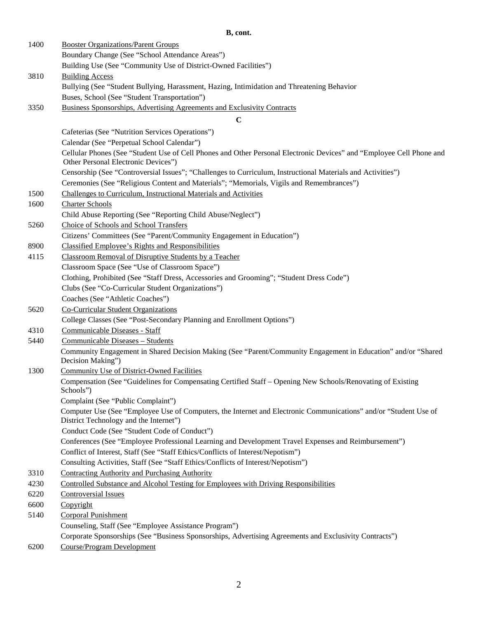### **B, cont.**

| 1400 | <b>Booster Organizations/Parent Groups</b>                                                                                                                  |
|------|-------------------------------------------------------------------------------------------------------------------------------------------------------------|
|      | Boundary Change (See "School Attendance Areas")                                                                                                             |
|      | Building Use (See "Community Use of District-Owned Facilities")                                                                                             |
| 3810 | <b>Building Access</b>                                                                                                                                      |
|      | Bullying (See "Student Bullying, Harassment, Hazing, Intimidation and Threatening Behavior                                                                  |
|      | Buses, School (See "Student Transportation")                                                                                                                |
| 3350 | Business Sponsorships, Advertising Agreements and Exclusivity Contracts                                                                                     |
|      | $\mathbf C$                                                                                                                                                 |
|      | Cafeterias (See "Nutrition Services Operations")                                                                                                            |
|      | Calendar (See "Perpetual School Calendar")                                                                                                                  |
|      | Cellular Phones (See "Student Use of Cell Phones and Other Personal Electronic Devices" and "Employee Cell Phone and<br>Other Personal Electronic Devices") |
|      | Censorship (See "Controversial Issues"; "Challenges to Curriculum, Instructional Materials and Activities")                                                 |
|      | Ceremonies (See "Religious Content and Materials"; "Memorials, Vigils and Remembrances")                                                                    |
| 1500 | Challenges to Curriculum, Instructional Materials and Activities                                                                                            |
| 1600 | <b>Charter Schools</b>                                                                                                                                      |
|      | Child Abuse Reporting (See "Reporting Child Abuse/Neglect")                                                                                                 |
| 5260 | Choice of Schools and School Transfers                                                                                                                      |
|      | Citizens' Committees (See "Parent/Community Engagement in Education")                                                                                       |
| 8900 | <b>Classified Employee's Rights and Responsibilities</b>                                                                                                    |
| 4115 | Classroom Removal of Disruptive Students by a Teacher                                                                                                       |
|      | Classroom Space (See "Use of Classroom Space")                                                                                                              |
|      | Clothing, Prohibited (See "Staff Dress, Accessories and Grooming"; "Student Dress Code")                                                                    |
|      | Clubs (See "Co-Curricular Student Organizations")                                                                                                           |
|      | Coaches (See "Athletic Coaches")                                                                                                                            |
| 5620 | <b>Co-Curricular Student Organizations</b>                                                                                                                  |
|      | College Classes (See "Post-Secondary Planning and Enrollment Options")                                                                                      |
| 4310 | Communicable Diseases - Staff                                                                                                                               |
| 5440 | Communicable Diseases - Students                                                                                                                            |
|      | Community Engagement in Shared Decision Making (See "Parent/Community Engagement in Education" and/or "Shared<br>Decision Making")                          |
| 1300 | Community Use of District-Owned Facilities                                                                                                                  |
|      | Compensation (See "Guidelines for Compensating Certified Staff - Opening New Schools/Renovating of Existing<br>Schools")                                    |
|      | Complaint (See "Public Complaint")                                                                                                                          |
|      | Computer Use (See "Employee Use of Computers, the Internet and Electronic Communications" and/or "Student Use of                                            |
|      | District Technology and the Internet")                                                                                                                      |
|      | Conduct Code (See "Student Code of Conduct")                                                                                                                |
|      | Conferences (See "Employee Professional Learning and Development Travel Expenses and Reimbursement")                                                        |
|      | Conflict of Interest, Staff (See "Staff Ethics/Conflicts of Interest/Nepotism")                                                                             |
|      | Consulting Activities, Staff (See "Staff Ethics/Conflicts of Interest/Nepotism")                                                                            |
| 3310 | <b>Contracting Authority and Purchasing Authority</b>                                                                                                       |
| 4230 | Controlled Substance and Alcohol Testing for Employees with Driving Responsibilities                                                                        |
| 6220 | <b>Controversial Issues</b>                                                                                                                                 |
| 6600 | Copyright                                                                                                                                                   |
| 5140 | <b>Corporal Punishment</b>                                                                                                                                  |
|      | Counseling, Staff (See "Employee Assistance Program")                                                                                                       |
|      | Corporate Sponsorships (See "Business Sponsorships, Advertising Agreements and Exclusivity Contracts")                                                      |
| 6200 | <b>Course/Program Development</b>                                                                                                                           |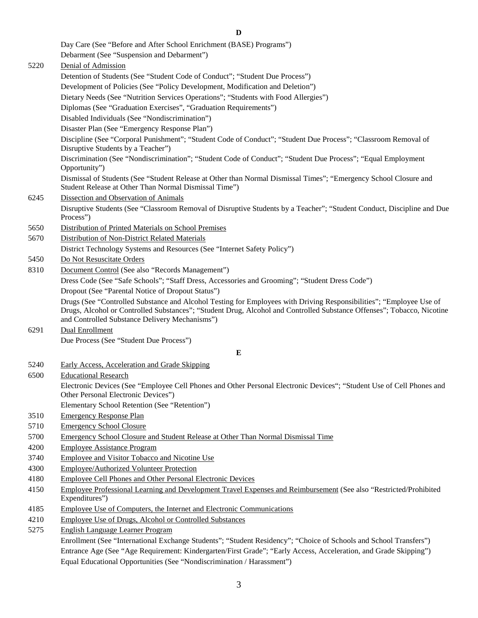**D** Day Care (See "Before and After School Enrichment (BASE) Programs") Debarment (See "Suspension and Debarment") 5220 Denial of Admission Detention of Students (See "Student Code of Conduct"; "Student Due Process") Development of Policies (See "Policy Development, Modification and Deletion") Dietary Needs (See "Nutrition Services Operations"; "Students with Food Allergies") Diplomas (See "Graduation Exercises", "Graduation Requirements") Disabled Individuals (See "Nondiscrimination") Disaster Plan (See "Emergency Response Plan") Discipline (See "Corporal Punishment"; "Student Code of Conduct"; "Student Due Process"; "Classroom Removal of Disruptive Students by a Teacher") Discrimination (See "Nondiscrimination"; "Student Code of Conduct"; "Student Due Process"; "Equal Employment Opportunity") Dismissal of Students (See "Student Release at Other than Normal Dismissal Times"; "Emergency School Closure and Student Release at Other Than Normal Dismissal Time") 6245 Dissection and Observation of Animals Disruptive Students (See "Classroom Removal of Disruptive Students by a Teacher"; "Student Conduct, Discipline and Due Process") 5650 Distribution of Printed Materials on School Premises 5670 Distribution of Non-District Related Materials District Technology Systems and Resources (See "Internet Safety Policy") 5450 Do Not Resuscitate Orders 8310 Document Control (See also "Records Management") Dress Code (See "Safe Schools"; "Staff Dress, Accessories and Grooming"; "Student Dress Code") Dropout (See "Parental Notice of Dropout Status") Drugs (See "Controlled Substance and Alcohol Testing for Employees with Driving Responsibilities"; "Employee Use of Drugs, Alcohol or Controlled Substances"; "Student Drug, Alcohol and Controlled Substance Offenses"; Tobacco, Nicotine and Controlled Substance Delivery Mechanisms") 6291 Dual Enrollment Due Process (See "Student Due Process") **E** 5240 Early Access, Acceleration and Grade Skipping 6500 Educational Research Electronic Devices (See "Employee Cell Phones and Other Personal Electronic Devices"; "Student Use of Cell Phones and Other Personal Electronic Devices") Elementary School Retention (See "Retention") 3510 Emergency Response Plan 5710 Emergency School Closure 5700 Emergency School Closure and Student Release at Other Than Normal Dismissal Time 4200 Employee Assistance Program 3740 Employee and Visitor Tobacco and Nicotine Use 4300 Employee/Authorized Volunteer Protection 4180 Employee Cell Phones and Other Personal Electronic Devices 4150 Employee Professional Learning and Development Travel Expenses and Reimbursement (See also "Restricted/Prohibited Expenditures") 4185 Employee Use of Computers, the Internet and Electronic Communications 4210 Employee Use of Drugs, Alcohol or Controlled Substances 5275 English Language Learner Program Enrollment (See "International Exchange Students"; "Student Residency"; "Choice of Schools and School Transfers")

Entrance Age (See "Age Requirement: Kindergarten/First Grade"; "Early Access, Acceleration, and Grade Skipping") Equal Educational Opportunities (See "Nondiscrimination / Harassment")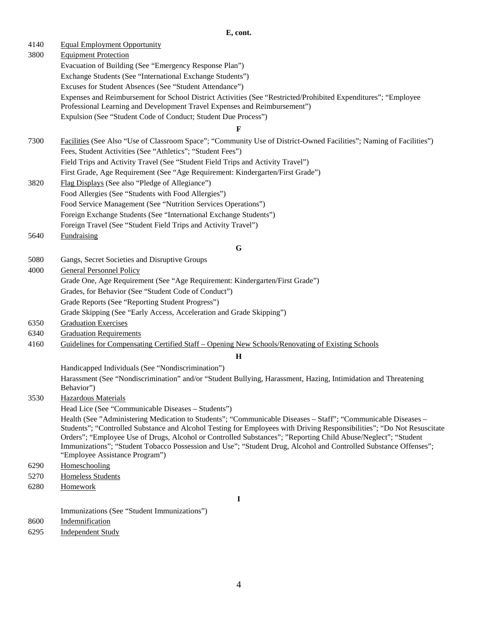## **E, cont.**

| 4140         | <b>Equal Employment Opportunity</b>                                                                                    |
|--------------|------------------------------------------------------------------------------------------------------------------------|
| 3800         | <b>Equipment Protection</b>                                                                                            |
|              | Evacuation of Building (See "Emergency Response Plan")                                                                 |
|              | Exchange Students (See "International Exchange Students")                                                              |
|              | Excuses for Student Absences (See "Student Attendance")                                                                |
|              | Expenses and Reimbursement for School District Activities (See "Restricted/Prohibited Expenditures"; "Employee         |
|              | Professional Learning and Development Travel Expenses and Reimbursement")                                              |
|              | Expulsion (See "Student Code of Conduct; Student Due Process")                                                         |
|              | F                                                                                                                      |
| 7300         | Facilities (See Also "Use of Classroom Space"; "Community Use of District-Owned Facilities"; Naming of Facilities")    |
|              | Fees, Student Activities (See "Athletics"; "Student Fees")                                                             |
|              | Field Trips and Activity Travel (See "Student Field Trips and Activity Travel")                                        |
|              | First Grade, Age Requirement (See "Age Requirement: Kindergarten/First Grade")                                         |
| 3820         | Flag Displays (See also "Pledge of Allegiance")                                                                        |
|              | Food Allergies (See "Students with Food Allergies")                                                                    |
|              | Food Service Management (See "Nutrition Services Operations")                                                          |
|              | Foreign Exchange Students (See "International Exchange Students")                                                      |
|              | Foreign Travel (See "Student Field Trips and Activity Travel")                                                         |
| 5640         | Fundraising                                                                                                            |
|              | G                                                                                                                      |
| 5080         | Gangs, Secret Societies and Disruptive Groups                                                                          |
| 4000         | <b>General Personnel Policy</b>                                                                                        |
|              | Grade One, Age Requirement (See "Age Requirement: Kindergarten/First Grade")                                           |
|              | Grades, for Behavior (See "Student Code of Conduct")                                                                   |
|              | Grade Reports (See "Reporting Student Progress")                                                                       |
|              | Grade Skipping (See "Early Access, Acceleration and Grade Skipping")                                                   |
| 6350         | <b>Graduation Exercises</b>                                                                                            |
| 6340         | <b>Graduation Requirements</b>                                                                                         |
| 4160         | Guidelines for Compensating Certified Staff - Opening New Schools/Renovating of Existing Schools                       |
|              | $\mathbf H$                                                                                                            |
|              | Handicapped Individuals (See "Nondiscrimination")                                                                      |
|              | Harassment (See "Nondiscrimination" and/or "Student Bullying, Harassment, Hazing, Intimidation and Threatening         |
|              | Behavior")                                                                                                             |
| 3530         | <b>Hazardous Materials</b>                                                                                             |
|              | Head Lice (See "Communicable Diseases – Students")                                                                     |
|              | Health (See "Administering Medication to Students"; "Communicable Diseases – Staff"; "Communicable Diseases –          |
|              | Students"; "Controlled Substance and Alcohol Testing for Employees with Driving Responsibilities"; "Do Not Resuscitate |
|              | Orders"; "Employee Use of Drugs, Alcohol or Controlled Substances"; "Reporting Child Abuse/Neglect"; "Student          |
|              | Immunizations"; "Student Tobacco Possession and Use"; "Student Drug, Alcohol and Controlled Substance Offenses";       |
| 6290         | "Employee Assistance Program")<br>Homeschooling                                                                        |
| 5270         | <b>Homeless Students</b>                                                                                               |
| 6280         | Homework                                                                                                               |
|              |                                                                                                                        |
|              | I                                                                                                                      |
|              | Immunizations (See "Student Immunizations")                                                                            |
| 8600<br>6295 | Indemnification                                                                                                        |
|              | <b>Independent Study</b>                                                                                               |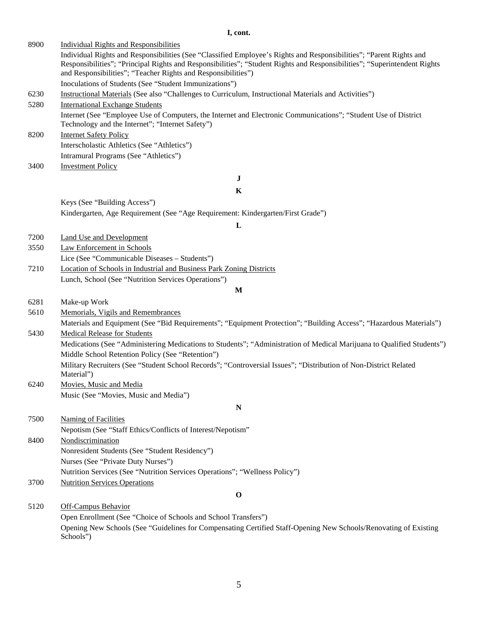## **I, cont.**

| 8900 | <b>Individual Rights and Responsibilities</b>                                                                                                                       |
|------|---------------------------------------------------------------------------------------------------------------------------------------------------------------------|
|      | Individual Rights and Responsibilities (See "Classified Employee's Rights and Responsibilities"; "Parent Rights and                                                 |
|      | Responsibilities"; "Principal Rights and Responsibilities"; "Student Rights and Responsibilities"; "Superintendent Rights                                           |
|      | and Responsibilities"; "Teacher Rights and Responsibilities")                                                                                                       |
|      | Inoculations of Students (See "Student Immunizations")                                                                                                              |
| 6230 | Instructional Materials (See also "Challenges to Curriculum, Instructional Materials and Activities")                                                               |
| 5280 | <b>International Exchange Students</b>                                                                                                                              |
|      | Internet (See "Employee Use of Computers, the Internet and Electronic Communications"; "Student Use of District<br>Technology and the Internet"; "Internet Safety") |
| 8200 | <b>Internet Safety Policy</b>                                                                                                                                       |
|      | Interscholastic Athletics (See "Athletics")                                                                                                                         |
|      | Intramural Programs (See "Athletics")                                                                                                                               |
| 3400 | <b>Investment Policy</b>                                                                                                                                            |
|      | $\bf J$                                                                                                                                                             |
|      | K                                                                                                                                                                   |
|      | Keys (See "Building Access")                                                                                                                                        |
|      | Kindergarten, Age Requirement (See "Age Requirement: Kindergarten/First Grade")                                                                                     |
|      | L                                                                                                                                                                   |
| 7200 | <b>Land Use and Development</b>                                                                                                                                     |
| 3550 | Law Enforcement in Schools                                                                                                                                          |
|      | Lice (See "Communicable Diseases - Students")                                                                                                                       |
| 7210 | Location of Schools in Industrial and Business Park Zoning Districts                                                                                                |
|      | Lunch, School (See "Nutrition Services Operations")                                                                                                                 |
|      | M                                                                                                                                                                   |
| 6281 | Make-up Work                                                                                                                                                        |
| 5610 | Memorials, Vigils and Remembrances                                                                                                                                  |
|      | Materials and Equipment (See "Bid Requirements"; "Equipment Protection"; "Building Access"; "Hazardous Materials")                                                  |
| 5430 | <b>Medical Release for Students</b>                                                                                                                                 |
|      | Medications (See "Administering Medications to Students"; "Administration of Medical Marijuana to Qualified Students")                                              |
|      | Middle School Retention Policy (See "Retention")                                                                                                                    |
|      | Military Recruiters (See "Student School Records"; "Controversial Issues"; "Distribution of Non-District Related                                                    |
|      | Material")                                                                                                                                                          |
| 6240 | Movies, Music and Media                                                                                                                                             |
|      | Music (See "Movies, Music and Media")                                                                                                                               |
|      | N                                                                                                                                                                   |
| 7500 | <b>Naming of Facilities</b>                                                                                                                                         |
|      | Nepotism (See "Staff Ethics/Conflicts of Interest/Nepotism"                                                                                                         |
| 8400 | Nondiscrimination                                                                                                                                                   |
|      | Nonresident Students (See "Student Residency")                                                                                                                      |
|      | Nurses (See "Private Duty Nurses")                                                                                                                                  |
|      | Nutrition Services (See "Nutrition Services Operations"; "Wellness Policy")                                                                                         |
| 3700 | <b>Nutrition Services Operations</b>                                                                                                                                |
|      | $\mathbf 0$                                                                                                                                                         |
| 5120 | <b>Off-Campus Behavior</b>                                                                                                                                          |
|      | Open Enrollment (See "Choice of Schools and School Transfers")                                                                                                      |
|      | Opening New Schools (See "Guidelines for Compensating Certified Staff-Opening New Schools/Renovating of Existing                                                    |
|      | Schools")                                                                                                                                                           |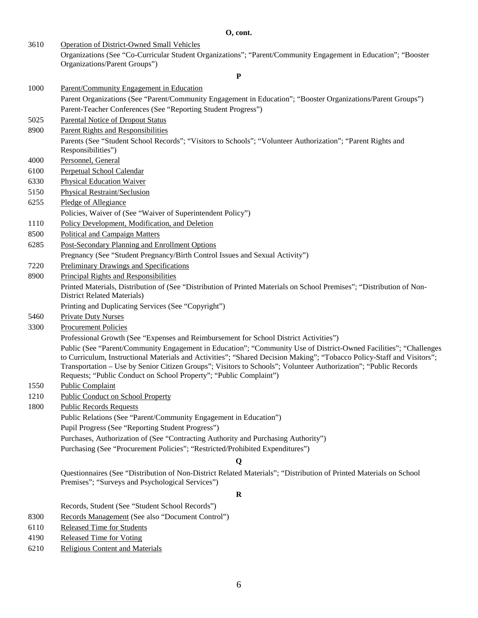**O, cont.**

| 3610 | <b>Operation of District-Owned Small Vehicles</b>                                                                                                                                                                                                                                                                                                                                                                                    |
|------|--------------------------------------------------------------------------------------------------------------------------------------------------------------------------------------------------------------------------------------------------------------------------------------------------------------------------------------------------------------------------------------------------------------------------------------|
|      | Organizations (See "Co-Curricular Student Organizations"; "Parent/Community Engagement in Education"; "Booster<br>Organizations/Parent Groups")                                                                                                                                                                                                                                                                                      |
|      | ${\bf P}$                                                                                                                                                                                                                                                                                                                                                                                                                            |
| 1000 | Parent/Community Engagement in Education                                                                                                                                                                                                                                                                                                                                                                                             |
|      | Parent Organizations (See "Parent/Community Engagement in Education"; "Booster Organizations/Parent Groups")                                                                                                                                                                                                                                                                                                                         |
|      | Parent-Teacher Conferences (See "Reporting Student Progress")                                                                                                                                                                                                                                                                                                                                                                        |
| 5025 | <b>Parental Notice of Dropout Status</b>                                                                                                                                                                                                                                                                                                                                                                                             |
| 8900 | Parent Rights and Responsibilities                                                                                                                                                                                                                                                                                                                                                                                                   |
|      | Parents (See "Student School Records"; "Visitors to Schools"; "Volunteer Authorization"; "Parent Rights and<br>Responsibilities")                                                                                                                                                                                                                                                                                                    |
| 4000 | Personnel, General                                                                                                                                                                                                                                                                                                                                                                                                                   |
| 6100 | Perpetual School Calendar                                                                                                                                                                                                                                                                                                                                                                                                            |
| 6330 | <b>Physical Education Waiver</b>                                                                                                                                                                                                                                                                                                                                                                                                     |
| 5150 | <b>Physical Restraint/Seclusion</b>                                                                                                                                                                                                                                                                                                                                                                                                  |
| 6255 | Pledge of Allegiance                                                                                                                                                                                                                                                                                                                                                                                                                 |
|      | Policies, Waiver of (See "Waiver of Superintendent Policy")                                                                                                                                                                                                                                                                                                                                                                          |
| 1110 | Policy Development, Modification, and Deletion                                                                                                                                                                                                                                                                                                                                                                                       |
| 8500 | Political and Campaign Matters                                                                                                                                                                                                                                                                                                                                                                                                       |
| 6285 | Post-Secondary Planning and Enrollment Options                                                                                                                                                                                                                                                                                                                                                                                       |
|      | Pregnancy (See "Student Pregnancy/Birth Control Issues and Sexual Activity")                                                                                                                                                                                                                                                                                                                                                         |
| 7220 | <b>Preliminary Drawings and Specifications</b>                                                                                                                                                                                                                                                                                                                                                                                       |
| 8900 | <b>Principal Rights and Responsibilities</b>                                                                                                                                                                                                                                                                                                                                                                                         |
|      | Printed Materials, Distribution of (See "Distribution of Printed Materials on School Premises"; "Distribution of Non-<br><b>District Related Materials)</b>                                                                                                                                                                                                                                                                          |
|      | Printing and Duplicating Services (See "Copyright")                                                                                                                                                                                                                                                                                                                                                                                  |
| 5460 | <b>Private Duty Nurses</b>                                                                                                                                                                                                                                                                                                                                                                                                           |
| 3300 | <b>Procurement Policies</b>                                                                                                                                                                                                                                                                                                                                                                                                          |
|      | Professional Growth (See "Expenses and Reimbursement for School District Activities")                                                                                                                                                                                                                                                                                                                                                |
|      | Public (See "Parent/Community Engagement in Education"; "Community Use of District-Owned Facilities"; "Challenges<br>to Curriculum, Instructional Materials and Activities"; "Shared Decision Making"; "Tobacco Policy-Staff and Visitors";<br>Transportation - Use by Senior Citizen Groups"; Visitors to Schools"; Volunteer Authorization"; "Public Records<br>Requests; "Public Conduct on School Property"; "Public Complaint") |
| 1550 | Public Complaint                                                                                                                                                                                                                                                                                                                                                                                                                     |
| 1210 | <b>Public Conduct on School Property</b>                                                                                                                                                                                                                                                                                                                                                                                             |
| 1800 | <b>Public Records Requests</b>                                                                                                                                                                                                                                                                                                                                                                                                       |
|      | Public Relations (See "Parent/Community Engagement in Education")                                                                                                                                                                                                                                                                                                                                                                    |
|      | Pupil Progress (See "Reporting Student Progress")                                                                                                                                                                                                                                                                                                                                                                                    |
|      | Purchases, Authorization of (See "Contracting Authority and Purchasing Authority")                                                                                                                                                                                                                                                                                                                                                   |
|      | Purchasing (See "Procurement Policies"; "Restricted/Prohibited Expenditures")                                                                                                                                                                                                                                                                                                                                                        |
|      | Q                                                                                                                                                                                                                                                                                                                                                                                                                                    |
|      | Questionnaires (See "Distribution of Non-District Related Materials"; "Distribution of Printed Materials on School<br>Premises"; "Surveys and Psychological Services")                                                                                                                                                                                                                                                               |
|      | $\bf R$                                                                                                                                                                                                                                                                                                                                                                                                                              |
|      | Records, Student (See "Student School Records")                                                                                                                                                                                                                                                                                                                                                                                      |
| 8300 | Records Management (See also "Document Control")                                                                                                                                                                                                                                                                                                                                                                                     |
| 6110 | <b>Released Time for Students</b>                                                                                                                                                                                                                                                                                                                                                                                                    |

- 4190 Released Time for Voting<br>6210 Religious Content and Mat
- Religious Content and Materials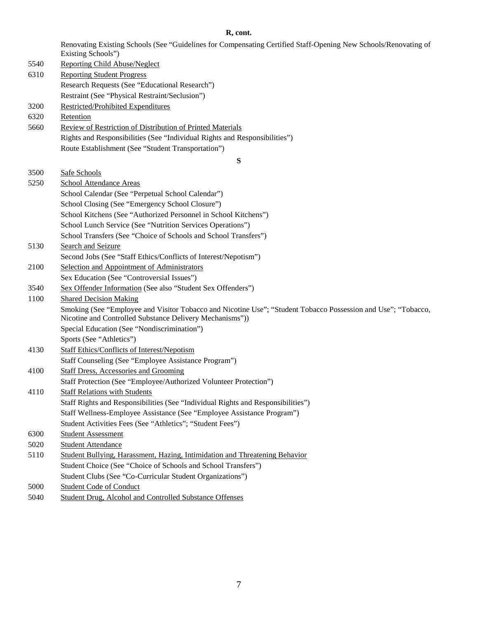#### **R, cont.**

Renovating Existing Schools (See "Guidelines for Compensating Certified Staff-Opening New Schools/Renovating of Existing Schools")

5540 Reporting Child Abuse/Neglect 6310 Reporting Student Progress Research Requests (See "Educational Research") Restraint (See "Physical Restraint/Seclusion") 3200 Restricted/Prohibited Expenditures 6320 Retention 5660 Review of Restriction of Distribution of Printed Materials Rights and Responsibilities (See "Individual Rights and Responsibilities") Route Establishment (See "Student Transportation") **S** 3500 Safe Schools 5250 School Attendance Areas School Calendar (See "Perpetual School Calendar") School Closing (See "Emergency School Closure") School Kitchens (See "Authorized Personnel in School Kitchens") School Lunch Service (See "Nutrition Services Operations") School Transfers (See "Choice of Schools and School Transfers") 5130 Search and Seizure Second Jobs (See "Staff Ethics/Conflicts of Interest/Nepotism") 2100 Selection and Appointment of Administrators Sex Education (See "Controversial Issues") 3540 Sex Offender Information (See also "Student Sex Offenders") 1100 Shared Decision Making Smoking (See "Employee and Visitor Tobacco and Nicotine Use"; "Student Tobacco Possession and Use"; "Tobacco, Nicotine and Controlled Substance Delivery Mechanisms")) Special Education (See "Nondiscrimination") Sports (See "Athletics") 4130 Staff Ethics/Conflicts of Interest/Nepotism Staff Counseling (See "Employee Assistance Program") 4100 Staff Dress, Accessories and Grooming Staff Protection (See "Employee/Authorized Volunteer Protection") 4110 Staff Relations with Students Staff Rights and Responsibilities (See "Individual Rights and Responsibilities") Staff Wellness-Employee Assistance (See "Employee Assistance Program") Student Activities Fees (See "Athletics"; "Student Fees") 6300 Student Assessment 5020 Student Attendance 5110 Student Bullying, Harassment, Hazing, Intimidation and Threatening Behavior Student Choice (See "Choice of Schools and School Transfers") Student Clubs (See "Co-Curricular Student Organizations") 5000 Student Code of Conduct 5040 Student Drug, Alcohol and Controlled Substance Offenses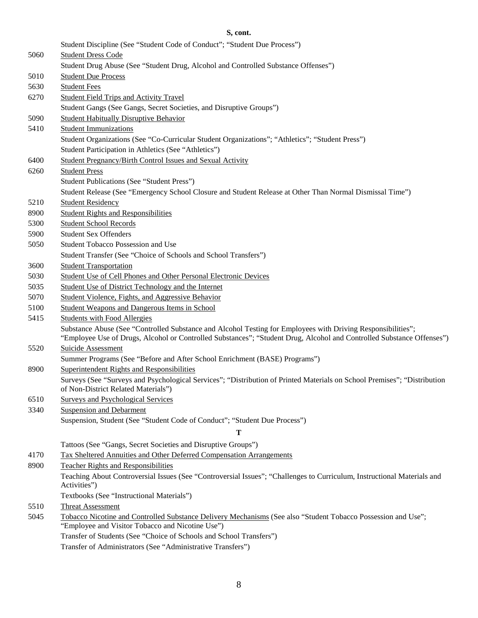## **S, cont.**

|      | Student Discipline (See "Student Code of Conduct"; "Student Due Process")                                                                                                                                                             |
|------|---------------------------------------------------------------------------------------------------------------------------------------------------------------------------------------------------------------------------------------|
| 5060 | <b>Student Dress Code</b>                                                                                                                                                                                                             |
|      | Student Drug Abuse (See "Student Drug, Alcohol and Controlled Substance Offenses")                                                                                                                                                    |
| 5010 | <b>Student Due Process</b>                                                                                                                                                                                                            |
| 5630 | <b>Student Fees</b>                                                                                                                                                                                                                   |
| 6270 | <b>Student Field Trips and Activity Travel</b>                                                                                                                                                                                        |
|      | Student Gangs (See Gangs, Secret Societies, and Disruptive Groups")                                                                                                                                                                   |
| 5090 | <b>Student Habitually Disruptive Behavior</b>                                                                                                                                                                                         |
| 5410 | <b>Student Immunizations</b>                                                                                                                                                                                                          |
|      | Student Organizations (See "Co-Curricular Student Organizations"; "Athletics"; "Student Press")                                                                                                                                       |
|      | Student Participation in Athletics (See "Athletics")                                                                                                                                                                                  |
| 6400 | Student Pregnancy/Birth Control Issues and Sexual Activity                                                                                                                                                                            |
| 6260 | <b>Student Press</b>                                                                                                                                                                                                                  |
|      | Student Publications (See "Student Press")                                                                                                                                                                                            |
|      | Student Release (See "Emergency School Closure and Student Release at Other Than Normal Dismissal Time")                                                                                                                              |
| 5210 | <b>Student Residency</b>                                                                                                                                                                                                              |
| 8900 | <b>Student Rights and Responsibilities</b>                                                                                                                                                                                            |
| 5300 | <b>Student School Records</b>                                                                                                                                                                                                         |
| 5900 | <b>Student Sex Offenders</b>                                                                                                                                                                                                          |
| 5050 | Student Tobacco Possession and Use                                                                                                                                                                                                    |
|      | Student Transfer (See "Choice of Schools and School Transfers")                                                                                                                                                                       |
| 3600 | <b>Student Transportation</b>                                                                                                                                                                                                         |
| 5030 | Student Use of Cell Phones and Other Personal Electronic Devices                                                                                                                                                                      |
| 5035 | Student Use of District Technology and the Internet                                                                                                                                                                                   |
| 5070 | Student Violence, Fights, and Aggressive Behavior                                                                                                                                                                                     |
| 5100 | <b>Student Weapons and Dangerous Items in School</b>                                                                                                                                                                                  |
| 5415 | <b>Students with Food Allergies</b>                                                                                                                                                                                                   |
|      | Substance Abuse (See "Controlled Substance and Alcohol Testing for Employees with Driving Responsibilities";<br>"Employee Use of Drugs, Alcohol or Controlled Substances"; "Student Drug, Alcohol and Controlled Substance Offenses") |
| 5520 | Suicide Assessment                                                                                                                                                                                                                    |
|      | Summer Programs (See "Before and After School Enrichment (BASE) Programs")                                                                                                                                                            |
| 8900 | Superintendent Rights and Responsibilities                                                                                                                                                                                            |
|      | Surveys (See "Surveys and Psychological Services"; "Distribution of Printed Materials on School Premises"; "Distribution<br>of Non-District Related Materials")                                                                       |
| 6510 | <b>Surveys and Psychological Services</b>                                                                                                                                                                                             |
| 3340 | <b>Suspension and Debarment</b>                                                                                                                                                                                                       |
|      | Suspension, Student (See "Student Code of Conduct"; "Student Due Process")                                                                                                                                                            |
|      | т                                                                                                                                                                                                                                     |
|      | Tattoos (See "Gangs, Secret Societies and Disruptive Groups")                                                                                                                                                                         |
| 4170 | Tax Sheltered Annuities and Other Deferred Compensation Arrangements                                                                                                                                                                  |
| 8900 | <b>Teacher Rights and Responsibilities</b>                                                                                                                                                                                            |
|      | Teaching About Controversial Issues (See "Controversial Issues"; "Challenges to Curriculum, Instructional Materials and<br>Activities")                                                                                               |
|      | Textbooks (See "Instructional Materials")                                                                                                                                                                                             |
| 5510 | <b>Threat Assessment</b>                                                                                                                                                                                                              |
| 5045 | Tobacco Nicotine and Controlled Substance Delivery Mechanisms (See also "Student Tobacco Possession and Use";<br>"Employee and Visitor Tobacco and Nicotine Use")                                                                     |
|      | Transfer of Students (See "Choice of Schools and School Transfers")                                                                                                                                                                   |
|      | Transfer of Administrators (See "Administrative Transfers")                                                                                                                                                                           |